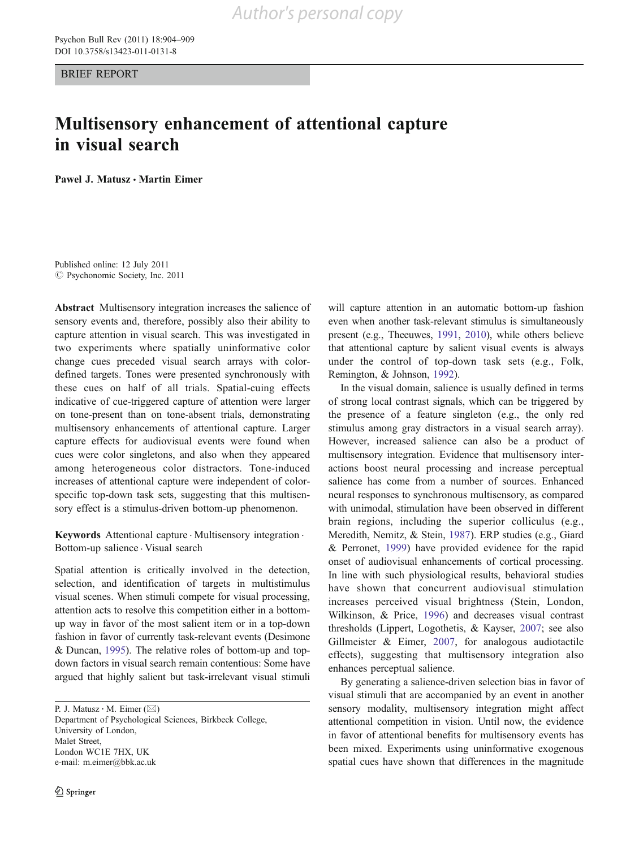BRIEF REPORT

# Multisensory enhancement of attentional capture in visual search

Pawel J. Matusz & Martin Eimer

Published online: 12 July 2011  $©$  Psychonomic Society, Inc. 2011

Abstract Multisensory integration increases the salience of sensory events and, therefore, possibly also their ability to capture attention in visual search. This was investigated in two experiments where spatially uninformative color change cues preceded visual search arrays with colordefined targets. Tones were presented synchronously with these cues on half of all trials. Spatial-cuing effects indicative of cue-triggered capture of attention were larger on tone-present than on tone-absent trials, demonstrating multisensory enhancements of attentional capture. Larger capture effects for audiovisual events were found when cues were color singletons, and also when they appeared among heterogeneous color distractors. Tone-induced increases of attentional capture were independent of colorspecific top-down task sets, suggesting that this multisensory effect is a stimulus-driven bottom-up phenomenon.

Keywords Attentional capture . Multisensory integration . Bottom-up salience . Visual search

Spatial attention is critically involved in the detection, selection, and identification of targets in multistimulus visual scenes. When stimuli compete for visual processing, attention acts to resolve this competition either in a bottomup way in favor of the most salient item or in a top-down fashion in favor of currently task-relevant events (Desimone & Duncan, [1995](#page-5-0)). The relative roles of bottom-up and topdown factors in visual search remain contentious: Some have argued that highly salient but task-irrelevant visual stimuli

P. J. Matusz  $\cdot$  M. Eimer ( $\boxtimes$ )

Department of Psychological Sciences, Birkbeck College, University of London, Malet Street, London WC1E 7HX, UK e-mail: m.eimer@bbk.ac.uk

will capture attention in an automatic bottom-up fashion even when another task-relevant stimulus is simultaneously present (e.g., Theeuwes, [1991](#page-5-0), [2010](#page-5-0)), while others believe that attentional capture by salient visual events is always under the control of top-down task sets (e.g., Folk, Remington, & Johnson, [1992](#page-5-0)).

In the visual domain, salience is usually defined in terms of strong local contrast signals, which can be triggered by the presence of a feature singleton (e.g., the only red stimulus among gray distractors in a visual search array). However, increased salience can also be a product of multisensory integration. Evidence that multisensory interactions boost neural processing and increase perceptual salience has come from a number of sources. Enhanced neural responses to synchronous multisensory, as compared with unimodal, stimulation have been observed in different brain regions, including the superior colliculus (e.g., Meredith, Nemitz, & Stein, [1987\)](#page-5-0). ERP studies (e.g., Giard & Perronet, [1999](#page-5-0)) have provided evidence for the rapid onset of audiovisual enhancements of cortical processing. In line with such physiological results, behavioral studies have shown that concurrent audiovisual stimulation increases perceived visual brightness (Stein, London, Wilkinson, & Price, [1996\)](#page-5-0) and decreases visual contrast thresholds (Lippert, Logothetis, & Kayser, [2007;](#page-5-0) see also Gillmeister & Eimer, [2007](#page-5-0), for analogous audiotactile effects), suggesting that multisensory integration also enhances perceptual salience.

By generating a salience-driven selection bias in favor of visual stimuli that are accompanied by an event in another sensory modality, multisensory integration might affect attentional competition in vision. Until now, the evidence in favor of attentional benefits for multisensory events has been mixed. Experiments using uninformative exogenous spatial cues have shown that differences in the magnitude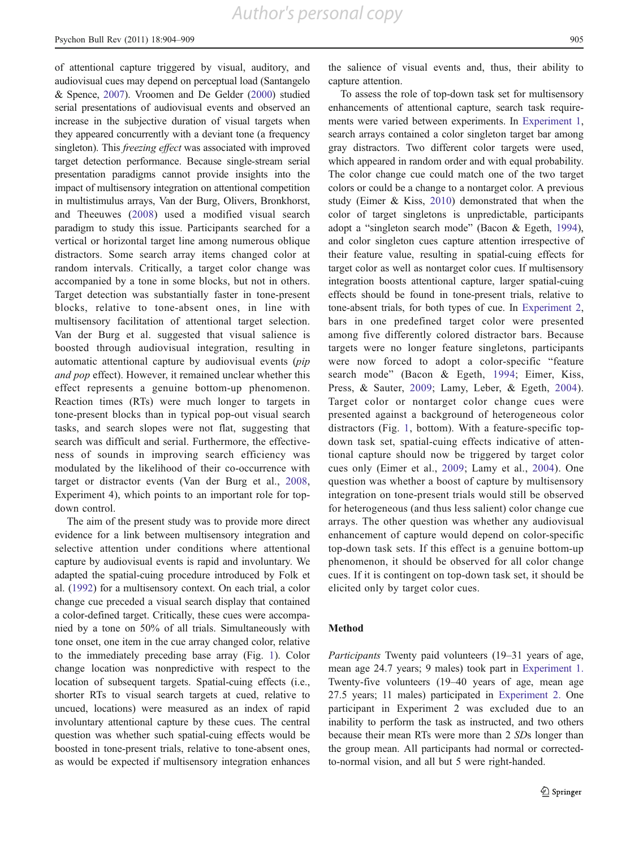of attentional capture triggered by visual, auditory, and audiovisual cues may depend on perceptual load (Santangelo & Spence, [2007](#page-5-0)). Vroomen and De Gelder [\(2000\)](#page-5-0) studied serial presentations of audiovisual events and observed an increase in the subjective duration of visual targets when they appeared concurrently with a deviant tone (a frequency singleton). This *freezing effect* was associated with improved target detection performance. Because single-stream serial presentation paradigms cannot provide insights into the impact of multisensory integration on attentional competition in multistimulus arrays, Van der Burg, Olivers, Bronkhorst, and Theeuwes [\(2008\)](#page-5-0) used a modified visual search paradigm to study this issue. Participants searched for a vertical or horizontal target line among numerous oblique distractors. Some search array items changed color at random intervals. Critically, a target color change was accompanied by a tone in some blocks, but not in others. Target detection was substantially faster in tone-present blocks, relative to tone-absent ones, in line with multisensory facilitation of attentional target selection. Van der Burg et al. suggested that visual salience is boosted through audiovisual integration, resulting in automatic attentional capture by audiovisual events (pip and pop effect). However, it remained unclear whether this effect represents a genuine bottom-up phenomenon. Reaction times (RTs) were much longer to targets in tone-present blocks than in typical pop-out visual search tasks, and search slopes were not flat, suggesting that search was difficult and serial. Furthermore, the effectiveness of sounds in improving search efficiency was modulated by the likelihood of their co-occurrence with target or distractor events (Van der Burg et al., [2008,](#page-5-0) Experiment 4), which points to an important role for topdown control.

The aim of the present study was to provide more direct evidence for a link between multisensory integration and selective attention under conditions where attentional capture by audiovisual events is rapid and involuntary. We adapted the spatial-cuing procedure introduced by Folk et al. ([1992\)](#page-5-0) for a multisensory context. On each trial, a color change cue preceded a visual search display that contained a color-defined target. Critically, these cues were accompanied by a tone on 50% of all trials. Simultaneously with tone onset, one item in the cue array changed color, relative to the immediately preceding base array (Fig. [1\)](#page-2-0). Color change location was nonpredictive with respect to the location of subsequent targets. Spatial-cuing effects (i.e., shorter RTs to visual search targets at cued, relative to uncued, locations) were measured as an index of rapid involuntary attentional capture by these cues. The central question was whether such spatial-cuing effects would be boosted in tone-present trials, relative to tone-absent ones, as would be expected if multisensory integration enhances

the salience of visual events and, thus, their ability to capture attention.

To assess the role of top-down task set for multisensory enhancements of attentional capture, search task require-ments were varied between experiments. In [Experiment 1,](#page-3-0) search arrays contained a color singleton target bar among gray distractors. Two different color targets were used, which appeared in random order and with equal probability. The color change cue could match one of the two target colors or could be a change to a nontarget color. A previous study (Eimer & Kiss, [2010](#page-5-0)) demonstrated that when the color of target singletons is unpredictable, participants adopt a "singleton search mode" (Bacon & Egeth, [1994\)](#page-5-0), and color singleton cues capture attention irrespective of their feature value, resulting in spatial-cuing effects for target color as well as nontarget color cues. If multisensory integration boosts attentional capture, larger spatial-cuing effects should be found in tone-present trials, relative to tone-absent trials, for both types of cue. In [Experiment 2,](#page-4-0) bars in one predefined target color were presented among five differently colored distractor bars. Because targets were no longer feature singletons, participants were now forced to adopt a color-specific "feature search mode" (Bacon & Egeth, [1994](#page-5-0); Eimer, Kiss, Press, & Sauter, [2009;](#page-5-0) Lamy, Leber, & Egeth, [2004](#page-5-0)). Target color or nontarget color change cues were presented against a background of heterogeneous color distractors (Fig. [1,](#page-2-0) bottom). With a feature-specific topdown task set, spatial-cuing effects indicative of attentional capture should now be triggered by target color cues only (Eimer et al., [2009;](#page-5-0) Lamy et al., [2004](#page-5-0)). One question was whether a boost of capture by multisensory integration on tone-present trials would still be observed for heterogeneous (and thus less salient) color change cue arrays. The other question was whether any audiovisual enhancement of capture would depend on color-specific top-down task sets. If this effect is a genuine bottom-up phenomenon, it should be observed for all color change cues. If it is contingent on top-down task set, it should be elicited only by target color cues.

# Method

Participants Twenty paid volunteers (19–31 years of age, mean age 24.7 years; 9 males) took part in [Experiment 1.](#page-3-0) Twenty-five volunteers (19–40 years of age, mean age 27.5 years; 11 males) participated in [Experiment 2.](#page-4-0) One participant in Experiment 2 was excluded due to an inability to perform the task as instructed, and two others because their mean RTs were more than 2 SDs longer than the group mean. All participants had normal or correctedto-normal vision, and all but 5 were right-handed.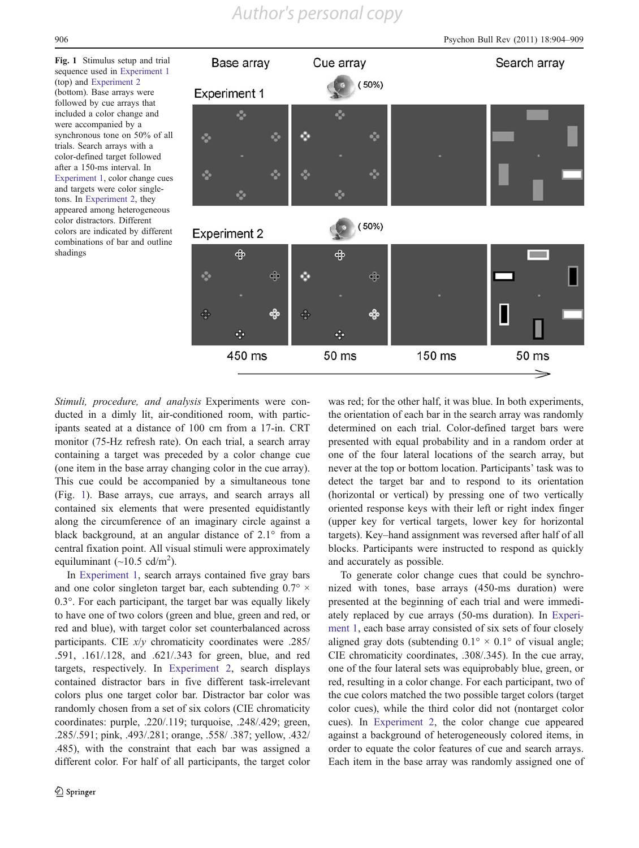<span id="page-2-0"></span>Fig. 1 Stimulus setup and trial sequence used in [Experiment 1](#page-3-0) (top) and [Experiment 2](#page-4-0) (bottom). Base arrays were followed by cue arrays that included a color change and were accompanied by a synchronous tone on 50% of all trials. Search arrays with a color-defined target followed after a 150-ms interval. In [Experiment 1,](#page-3-0) color change cues and targets were color singletons. In [Experiment 2,](#page-4-0) they appeared among heterogeneous color distractors. Different colors are indicated by different combinations of bar and outline shadings



Stimuli, procedure, and analysis Experiments were conducted in a dimly lit, air-conditioned room, with participants seated at a distance of 100 cm from a 17-in. CRT monitor (75-Hz refresh rate). On each trial, a search array containing a target was preceded by a color change cue (one item in the base array changing color in the cue array). This cue could be accompanied by a simultaneous tone (Fig. 1). Base arrays, cue arrays, and search arrays all contained six elements that were presented equidistantly along the circumference of an imaginary circle against a black background, at an angular distance of 2.1° from a central fixation point. All visual stimuli were approximately equiluminant  $(\sim 10.5 \text{ cd/m}^2)$ .

In [Experiment 1,](#page-3-0) search arrays contained five gray bars and one color singleton target bar, each subtending  $0.7^\circ \times$ 0.3°. For each participant, the target bar was equally likely to have one of two colors (green and blue, green and red, or red and blue), with target color set counterbalanced across participants. CIE x/y chromaticity coordinates were .285/ .591, .161/.128, and .621/.343 for green, blue, and red targets, respectively. In [Experiment 2,](#page-4-0) search displays contained distractor bars in five different task-irrelevant colors plus one target color bar. Distractor bar color was randomly chosen from a set of six colors (CIE chromaticity coordinates: purple, .220/.119; turquoise, .248/.429; green, .285/.591; pink, .493/.281; orange, .558/ .387; yellow, .432/ .485), with the constraint that each bar was assigned a different color. For half of all participants, the target color was red; for the other half, it was blue. In both experiments, the orientation of each bar in the search array was randomly determined on each trial. Color-defined target bars were presented with equal probability and in a random order at one of the four lateral locations of the search array, but never at the top or bottom location. Participants' task was to detect the target bar and to respond to its orientation (horizontal or vertical) by pressing one of two vertically oriented response keys with their left or right index finger (upper key for vertical targets, lower key for horizontal targets). Key–hand assignment was reversed after half of all blocks. Participants were instructed to respond as quickly and accurately as possible.

To generate color change cues that could be synchronized with tones, base arrays (450-ms duration) were presented at the beginning of each trial and were immediately replaced by cue arrays (50-ms duration). In [Experi](#page-3-0)[ment 1,](#page-3-0) each base array consisted of six sets of four closely aligned gray dots (subtending  $0.1^{\circ} \times 0.1^{\circ}$  of visual angle; CIE chromaticity coordinates, .308/.345). In the cue array, one of the four lateral sets was equiprobably blue, green, or red, resulting in a color change. For each participant, two of the cue colors matched the two possible target colors (target color cues), while the third color did not (nontarget color cues). In [Experiment 2,](#page-4-0) the color change cue appeared against a background of heterogeneously colored items, in order to equate the color features of cue and search arrays. Each item in the base array was randomly assigned one of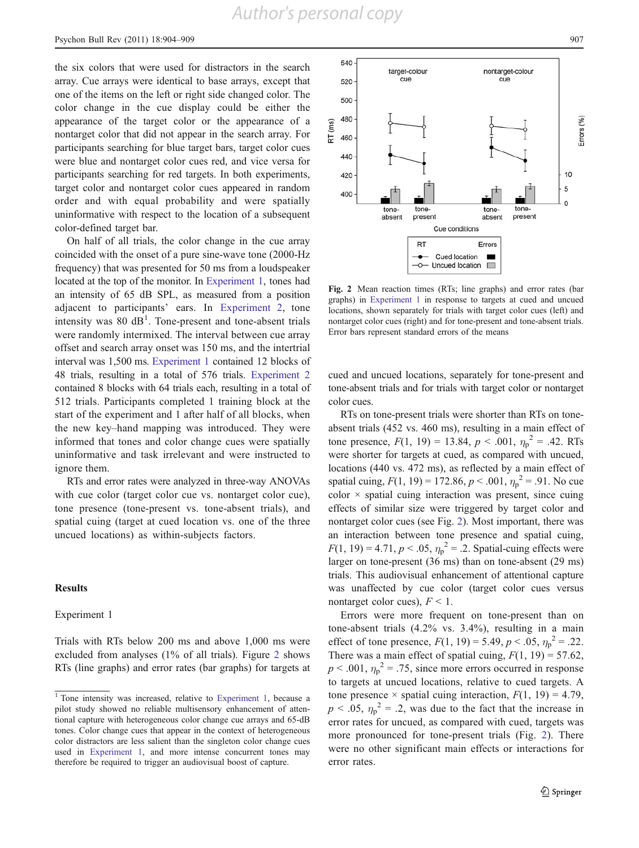<span id="page-3-0"></span>the six colors that were used for distractors in the search array. Cue arrays were identical to base arrays, except that one of the items on the left or right side changed color. The color change in the cue display could be either the appearance of the target color or the appearance of a nontarget color that did not appear in the search array. For participants searching for blue target bars, target color cues were blue and nontarget color cues red, and vice versa for participants searching for red targets. In both experiments, target color and nontarget color cues appeared in random order and with equal probability and were spatially uninformative with respect to the location of a subsequent color-defined target bar.

On half of all trials, the color change in the cue array coincided with the onset of a pure sine-wave tone (2000-Hz frequency) that was presented for 50 ms from a loudspeaker located at the top of the monitor. In Experiment 1, tones had an intensity of 65 dB SPL, as measured from a position adjacent to participants' ears. In [Experiment 2](#page-4-0), tone intensity was  $80 \text{ dB}^1$ . Tone-present and tone-absent trials were randomly intermixed. The interval between cue array offset and search array onset was 150 ms, and the intertrial interval was 1,500 ms. Experiment 1 contained 12 blocks of 48 trials, resulting in a total of 576 trials. [Experiment 2](#page-4-0) contained 8 blocks with 64 trials each, resulting in a total of 512 trials. Participants completed 1 training block at the start of the experiment and 1 after half of all blocks, when the new key–hand mapping was introduced. They were informed that tones and color change cues were spatially uninformative and task irrelevant and were instructed to ignore them.

RTs and error rates were analyzed in three-way ANOVAs with cue color (target color cue vs. nontarget color cue), tone presence (tone-present vs. tone-absent trials), and spatial cuing (target at cued location vs. one of the three uncued locations) as within-subjects factors.

## Results

#### Experiment 1

Trials with RTs below 200 ms and above 1,000 ms were excluded from analyses (1% of all trials). Figure 2 shows RTs (line graphs) and error rates (bar graphs) for targets at





Fig. 2 Mean reaction times (RTs; line graphs) and error rates (bar graphs) in Experiment 1 in response to targets at cued and uncued locations, shown separately for trials with target color cues (left) and nontarget color cues (right) and for tone-present and tone-absent trials. Error bars represent standard errors of the means

cued and uncued locations, separately for tone-present and tone-absent trials and for trials with target color or nontarget color cues.

RTs on tone-present trials were shorter than RTs on toneabsent trials (452 vs. 460 ms), resulting in a main effect of tone presence,  $F(1, 19) = 13.84$ ,  $p < .001$ ,  $\eta_p^2 = .42$ . RTs were shorter for targets at cued, as compared with uncued, locations (440 vs. 472 ms), as reflected by a main effect of spatial cuing,  $F(1, 19) = 172.86$ ,  $p < .001$ ,  $\eta_p^2 = .91$ . No cue  $color \times$  spatial cuing interaction was present, since cuing effects of similar size were triggered by target color and nontarget color cues (see Fig. 2). Most important, there was an interaction between tone presence and spatial cuing,  $F(1, 19) = 4.71, p < .05, \eta_p^2 = .2$ . Spatial-cuing effects were larger on tone-present (36 ms) than on tone-absent (29 ms) trials. This audiovisual enhancement of attentional capture was unaffected by cue color (target color cues versus nontarget color cues),  $F < 1$ .

Errors were more frequent on tone-present than on tone-absent trials (4.2% vs. 3.4%), resulting in a main effect of tone presence,  $F(1, 19) = 5.49, p < .05, \eta_p^2 = .22$ . There was a main effect of spatial cuing,  $F(1, 19) = 57.62$ ,  $p < .001$ ,  $\eta_p^2 = .75$ , since more errors occurred in response to targets at uncued locations, relative to cued targets. A tone presence  $\times$  spatial cuing interaction,  $F(1, 19) = 4.79$ ,  $p < .05$ ,  $\eta_p^2 = .2$ , was due to the fact that the increase in error rates for uncued, as compared with cued, targets was more pronounced for tone-present trials (Fig. 2). There were no other significant main effects or interactions for error rates.

<sup>&</sup>lt;sup>1</sup> Tone intensity was increased, relative to Experiment 1, because a pilot study showed no reliable multisensory enhancement of attentional capture with heterogeneous color change cue arrays and 65-dB tones. Color change cues that appear in the context of heterogeneous color distractors are less salient than the singleton color change cues used in Experiment 1, and more intense concurrent tones may therefore be required to trigger an audiovisual boost of capture.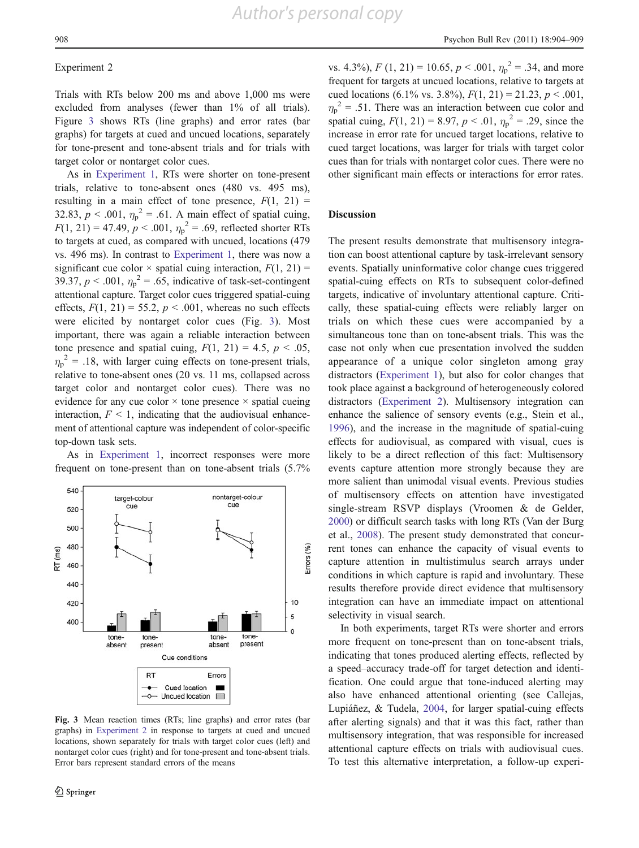#### <span id="page-4-0"></span>Experiment 2

Trials with RTs below 200 ms and above 1,000 ms were excluded from analyses (fewer than 1% of all trials). Figure 3 shows RTs (line graphs) and error rates (bar graphs) for targets at cued and uncued locations, separately for tone-present and tone-absent trials and for trials with target color or nontarget color cues.

As in [Experiment 1,](#page-3-0) RTs were shorter on tone-present trials, relative to tone-absent ones (480 vs. 495 ms), resulting in a main effect of tone presence,  $F(1, 21) =$ 32.83,  $p < .001$ ,  $\eta_p^2 = .61$ . A main effect of spatial cuing,  $F(1, 21) = 47.49, p < .001, \eta_p^2 = .69$ , reflected shorter RTs to targets at cued, as compared with uncued, locations (479 vs. 496 ms). In contrast to [Experiment 1,](#page-3-0) there was now a significant cue color  $\times$  spatial cuing interaction,  $F(1, 21) =$ 39.37,  $p < .001$ ,  $\eta_p^2 = .65$ , indicative of task-set-contingent attentional capture. Target color cues triggered spatial-cuing effects,  $F(1, 21) = 55.2$ ,  $p < .001$ , whereas no such effects were elicited by nontarget color cues (Fig. 3). Most important, there was again a reliable interaction between tone presence and spatial cuing,  $F(1, 21) = 4.5$ ,  $p < .05$ ,  $\eta_p^2$  = .18, with larger cuing effects on tone-present trials, relative to tone-absent ones (20 vs. 11 ms, collapsed across target color and nontarget color cues). There was no evidence for any cue color  $\times$  tone presence  $\times$  spatial cueing interaction,  $F < 1$ , indicating that the audiovisual enhancement of attentional capture was independent of color-specific top-down task sets.

As in [Experiment 1](#page-3-0), incorrect responses were more frequent on tone-present than on tone-absent trials (5.7%



Fig. 3 Mean reaction times (RTs; line graphs) and error rates (bar graphs) in Experiment 2 in response to targets at cued and uncued locations, shown separately for trials with target color cues (left) and nontarget color cues (right) and for tone-present and tone-absent trials. Error bars represent standard errors of the means

vs. 4.3%),  $F(1, 21) = 10.65, p < .001, \eta_p^2 = .34$ , and more frequent for targets at uncued locations, relative to targets at cued locations (6.1% vs. 3.8%),  $F(1, 21) = 21.23$ ,  $p < .001$ ,  $\eta_p^2$  = .51. There was an interaction between cue color and spatial cuing,  $F(1, 21) = 8.97, p < .01, \eta_p^2 = .29$ , since the increase in error rate for uncued target locations, relative to cued target locations, was larger for trials with target color cues than for trials with nontarget color cues. There were no other significant main effects or interactions for error rates.

### Discussion

The present results demonstrate that multisensory integration can boost attentional capture by task-irrelevant sensory events. Spatially uninformative color change cues triggered spatial-cuing effects on RTs to subsequent color-defined targets, indicative of involuntary attentional capture. Critically, these spatial-cuing effects were reliably larger on trials on which these cues were accompanied by a simultaneous tone than on tone-absent trials. This was the case not only when cue presentation involved the sudden appearance of a unique color singleton among gray distractors [\(Experiment 1\)](#page-3-0), but also for color changes that took place against a background of heterogeneously colored distractors (Experiment 2). Multisensory integration can enhance the salience of sensory events (e.g., Stein et al., [1996](#page-5-0)), and the increase in the magnitude of spatial-cuing effects for audiovisual, as compared with visual, cues is likely to be a direct reflection of this fact: Multisensory events capture attention more strongly because they are more salient than unimodal visual events. Previous studies of multisensory effects on attention have investigated single-stream RSVP displays (Vroomen & de Gelder, [2000\)](#page-5-0) or difficult search tasks with long RTs (Van der Burg et al., [2008\)](#page-5-0). The present study demonstrated that concurrent tones can enhance the capacity of visual events to capture attention in multistimulus search arrays under conditions in which capture is rapid and involuntary. These results therefore provide direct evidence that multisensory integration can have an immediate impact on attentional selectivity in visual search.

In both experiments, target RTs were shorter and errors more frequent on tone-present than on tone-absent trials, indicating that tones produced alerting effects, reflected by a speed–accuracy trade-off for target detection and identification. One could argue that tone-induced alerting may also have enhanced attentional orienting (see Callejas, Lupiáñez, & Tudela, [2004,](#page-5-0) for larger spatial-cuing effects after alerting signals) and that it was this fact, rather than multisensory integration, that was responsible for increased attentional capture effects on trials with audiovisual cues. To test this alternative interpretation, a follow-up experi-